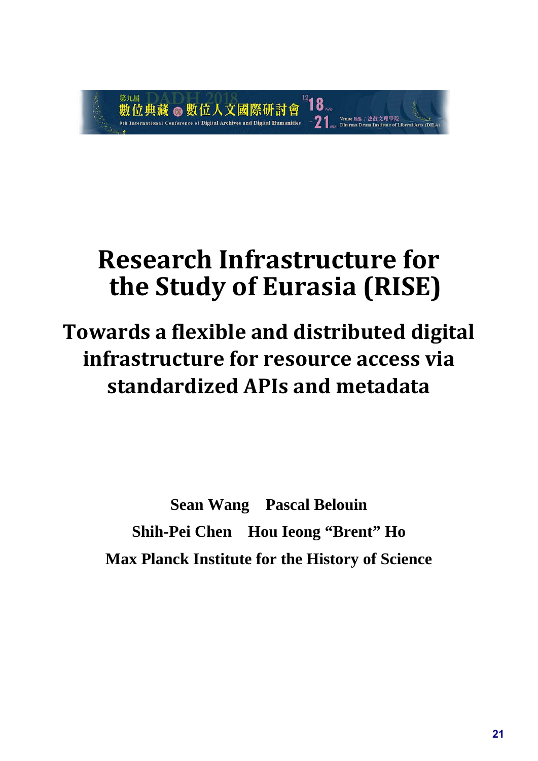

# **Research Infrastructure for the Study of Eurasia (RISE)**

# **Towards a flexible and distributed digital infrastructure for resource access via standardized APIs and metadata**

**Sean Wang Pascal Belouin Shih-Pei Chen Hou Ieong "Brent" Ho Max Planck Institute for the History of Science**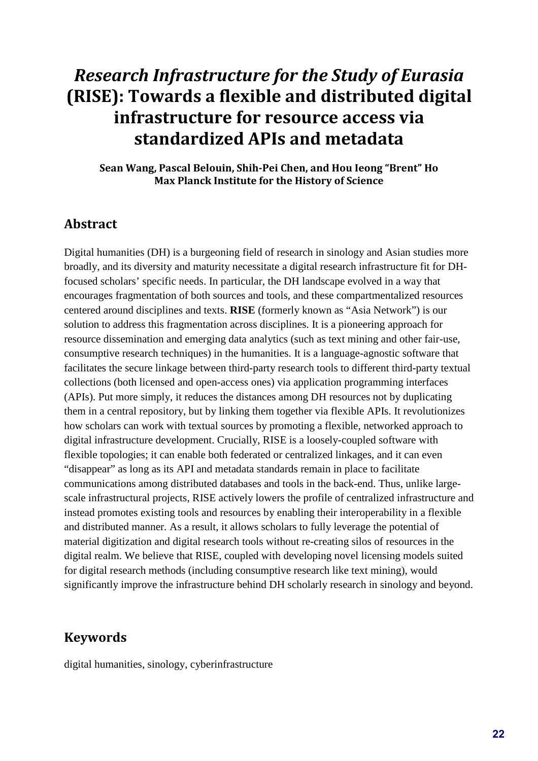# *Research Infrastructure for the Study of Eurasia* **(RISE): Towards a flexible and distributed digital infrastructure for resource access via standardized APIs and metadata**

**Sean Wang, Pascal Belouin, Shih-Pei Chen, and Hou Ieong "Brent" Ho Max Planck Institute for the History of Science**

#### **Abstract**

Digital humanities (DH) is a burgeoning field of research in sinology and Asian studies more broadly, and its diversity and maturity necessitate a digital research infrastructure fit for DHfocused scholars' specific needs. In particular, the DH landscape evolved in a way that encourages fragmentation of both sources and tools, and these compartmentalized resources centered around disciplines and texts. **RISE** (formerly known as "Asia Network") is our solution to address this fragmentation across disciplines. It is a pioneering approach for resource dissemination and emerging data analytics (such as text mining and other fair-use, consumptive research techniques) in the humanities. It is a language-agnostic software that facilitates the secure linkage between third-party research tools to different third-party textual collections (both licensed and open-access ones) via application programming interfaces (APIs). Put more simply, it reduces the distances among DH resources not by duplicating them in a central repository, but by linking them together via flexible APIs. It revolutionizes how scholars can work with textual sources by promoting a flexible, networked approach to digital infrastructure development. Crucially, RISE is a loosely-coupled software with flexible topologies; it can enable both federated or centralized linkages, and it can even "disappear" as long as its API and metadata standards remain in place to facilitate communications among distributed databases and tools in the back-end. Thus, unlike largescale infrastructural projects, RISE actively lowers the profile of centralized infrastructure and instead promotes existing tools and resources by enabling their interoperability in a flexible and distributed manner. As a result, it allows scholars to fully leverage the potential of material digitization and digital research tools without re-creating silos of resources in the digital realm. We believe that RISE, coupled with developing novel licensing models suited for digital research methods (including consumptive research like text mining), would significantly improve the infrastructure behind DH scholarly research in sinology and beyond.

#### **Keywords**

digital humanities, sinology, cyberinfrastructure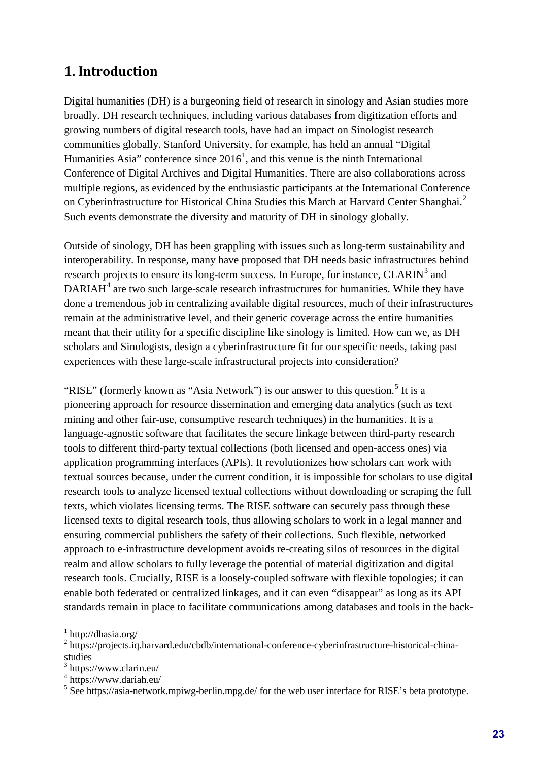# **1. Introduction**

Digital humanities (DH) is a burgeoning field of research in sinology and Asian studies more broadly. DH research techniques, including various databases from digitization efforts and growing numbers of digital research tools, have had an impact on Sinologist research communities globally. Stanford University, for example, has held an annual "Digital Humanities Asia" conference since  $2016<sup>1</sup>$  $2016<sup>1</sup>$  $2016<sup>1</sup>$ , and this venue is the ninth International Conference of Digital Archives and Digital Humanities. There are also collaborations across multiple regions, as evidenced by the enthusiastic participants at the International Conference on Cyberinfrastructure for Historical China Studies this March at Harvard Center Shanghai.<sup>[2](#page-2-1)</sup> Such events demonstrate the diversity and maturity of DH in sinology globally.

Outside of sinology, DH has been grappling with issues such as long-term sustainability and interoperability. In response, many have proposed that DH needs basic infrastructures behind research projects to ensure its long-term success. In Europe, for instance,  $CLARIN<sup>3</sup>$  $CLARIN<sup>3</sup>$  $CLARIN<sup>3</sup>$  and  $DARIAH<sup>4</sup>$  $DARIAH<sup>4</sup>$  $DARIAH<sup>4</sup>$  are two such large-scale research infrastructures for humanities. While they have done a tremendous job in centralizing available digital resources, much of their infrastructures remain at the administrative level, and their generic coverage across the entire humanities meant that their utility for a specific discipline like sinology is limited. How can we, as DH scholars and Sinologists, design a cyberinfrastructure fit for our specific needs, taking past experiences with these large-scale infrastructural projects into consideration?

"RISE" (formerly known as "Asia Network") is our answer to this question.<sup>[5](#page-2-4)</sup> It is a pioneering approach for resource dissemination and emerging data analytics (such as text mining and other fair-use, consumptive research techniques) in the humanities. It is a language-agnostic software that facilitates the secure linkage between third-party research tools to different third-party textual collections (both licensed and open-access ones) via application programming interfaces (APIs). It revolutionizes how scholars can work with textual sources because, under the current condition, it is impossible for scholars to use digital research tools to analyze licensed textual collections without downloading or scraping the full texts, which violates licensing terms. The RISE software can securely pass through these licensed texts to digital research tools, thus allowing scholars to work in a legal manner and ensuring commercial publishers the safety of their collections. Such flexible, networked approach to e-infrastructure development avoids re-creating silos of resources in the digital realm and allow scholars to fully leverage the potential of material digitization and digital research tools. Crucially, RISE is a loosely-coupled software with flexible topologies; it can enable both federated or centralized linkages, and it can even "disappear" as long as its API standards remain in place to facilitate communications among databases and tools in the back-

<span id="page-2-0"></span> $1$  http://dhasia.org/

<span id="page-2-1"></span><sup>&</sup>lt;sup>2</sup> https://projects.iq.harvard.edu/cbdb/international-conference-cyberinfrastructure-historical-chinastudies

<span id="page-2-2"></span><sup>3</sup> https://www.clarin.eu/

<sup>4</sup> https://www.dariah.eu/

<span id="page-2-4"></span><span id="page-2-3"></span><sup>5</sup> See https://asia-network.mpiwg-berlin.mpg.de/ for the web user interface for RISE's beta prototype.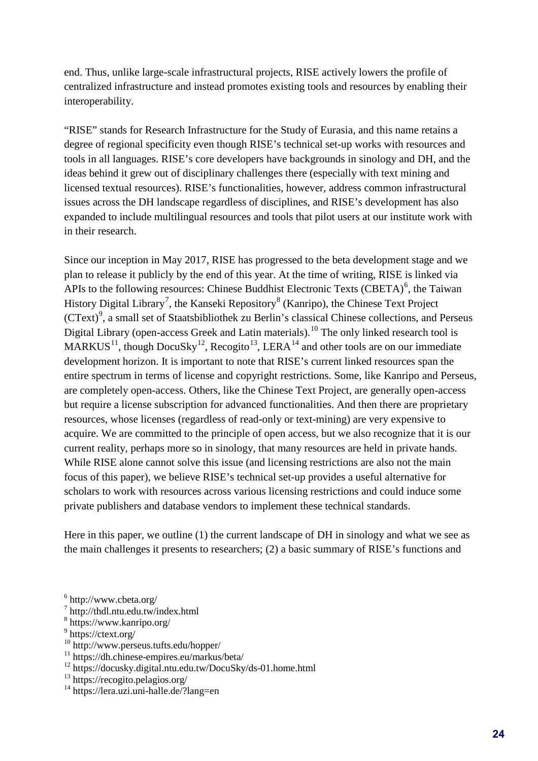end. Thus, unlike large-scale infrastructural projects, RISE actively lowers the profile of centralized infrastructure and instead promotes existing tools and resources by enabling their interoperability.

"RISE" stands for Research Infrastructure for the Study of Eurasia, and this name retains a degree of regional specificity even though RISE's technical set-up works with resources and tools in all languages. RISE's core developers have backgrounds in sinology and DH, and the ideas behind it grew out of disciplinary challenges there (especially with text mining and licensed textual resources). RISE's functionalities, however, address common infrastructural issues across the DH landscape regardless of disciplines, and RISE's development has also expanded to include multilingual resources and tools that pilot users at our institute work with in their research.

Since our inception in May 2017, RISE has progressed to the beta development stage and we plan to release it publicly by the end of this year. At the time of writing, RISE is linked via APIs to the following resources: Chinese Buddhist Electronic Texts (CBETA)<sup>[6](#page-3-0)</sup>, the Taiwan History Digital Library<sup>[7](#page-3-1)</sup>, the Kanseki Repository<sup>[8](#page-3-2)</sup> (Kanripo), the Chinese Text Project (CText)<sup>[9](#page-3-3)</sup>, a small set of Staatsbibliothek zu Berlin's classical Chinese collections, and Perseus Digital Library (open-access Greek and Latin materials).<sup>10</sup> The only linked research tool is MARKUS<sup>11</sup>, though DocuSky<sup>12</sup>, Recogito<sup>13</sup>, LERA<sup>14</sup> and other tools are on our immediate development horizon. It is important to note that RISE's current linked resources span the entire spectrum in terms of license and copyright restrictions. Some, like Kanripo and Perseus, are completely open-access. Others, like the Chinese Text Project, are generally open-access but require a license subscription for advanced functionalities. And then there are proprietary resources, whose licenses (regardless of read-only or text-mining) are very expensive to acquire. We are committed to the principle of open access, but we also recognize that it is our current reality, perhaps more so in sinology, that many resources are held in private hands. While RISE alone cannot solve this issue (and licensing restrictions are also not the main focus of this paper), we believe RISE's technical set-up provides a useful alternative for scholars to work with resources across various licensing restrictions and could induce some private publishers and database vendors to implement these technical standards.

Here in this paper, we outline (1) the current landscape of DH in sinology and what we see as the main challenges it presents to researchers; (2) a basic summary of RISE's functions and

<span id="page-3-4"></span>10 http://www.perseus.tufts.edu/hopper/

<span id="page-3-6"></span>12 https://docusky.digital.ntu.edu.tw/DocuSky/ds-01.home.html

<span id="page-3-0"></span> $6$  http://www.cbeta.org/

<span id="page-3-1"></span><sup>7</sup> http://thdl.ntu.edu.tw/index.html

<span id="page-3-2"></span><sup>8</sup> https://www.kanripo.org/

<span id="page-3-3"></span> $9$  https://ctext.org/

<span id="page-3-5"></span><sup>11</sup> https://dh.chinese-empires.eu/markus/beta/

<span id="page-3-7"></span><sup>13</sup> https://recogito.pelagios.org/

<span id="page-3-8"></span><sup>14</sup> https://lera.uzi.uni-halle.de/?lang=en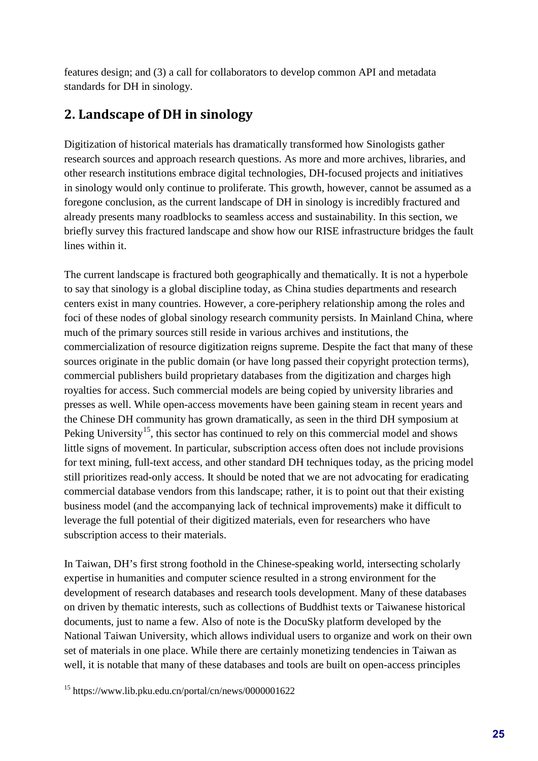features design; and (3) a call for collaborators to develop common API and metadata standards for DH in sinology.

# **2. Landscape of DH in sinology**

Digitization of historical materials has dramatically transformed how Sinologists gather research sources and approach research questions. As more and more archives, libraries, and other research institutions embrace digital technologies, DH-focused projects and initiatives in sinology would only continue to proliferate. This growth, however, cannot be assumed as a foregone conclusion, as the current landscape of DH in sinology is incredibly fractured and already presents many roadblocks to seamless access and sustainability. In this section, we briefly survey this fractured landscape and show how our RISE infrastructure bridges the fault lines within it.

The current landscape is fractured both geographically and thematically. It is not a hyperbole to say that sinology is a global discipline today, as China studies departments and research centers exist in many countries. However, a core-periphery relationship among the roles and foci of these nodes of global sinology research community persists. In Mainland China, where much of the primary sources still reside in various archives and institutions, the commercialization of resource digitization reigns supreme. Despite the fact that many of these sources originate in the public domain (or have long passed their copyright protection terms), commercial publishers build proprietary databases from the digitization and charges high royalties for access. Such commercial models are being copied by university libraries and presses as well. While open-access movements have been gaining steam in recent years and the Chinese DH community has grown dramatically, as seen in the third DH symposium at Peking University<sup>15</sup>, this sector has continued to rely on this commercial model and shows little signs of movement. In particular, subscription access often does not include provisions for text mining, full-text access, and other standard DH techniques today, as the pricing model still prioritizes read-only access. It should be noted that we are not advocating for eradicating commercial database vendors from this landscape; rather, it is to point out that their existing business model (and the accompanying lack of technical improvements) make it difficult to leverage the full potential of their digitized materials, even for researchers who have subscription access to their materials.

In Taiwan, DH's first strong foothold in the Chinese-speaking world, intersecting scholarly expertise in humanities and computer science resulted in a strong environment for the development of research databases and research tools development. Many of these databases on driven by thematic interests, such as collections of Buddhist texts or Taiwanese historical documents, just to name a few. Also of note is the DocuSky platform developed by the National Taiwan University, which allows individual users to organize and work on their own set of materials in one place. While there are certainly monetizing tendencies in Taiwan as well, it is notable that many of these databases and tools are built on open-access principles

<span id="page-4-0"></span>15 https://www.lib.pku.edu.cn/portal/cn/news/0000001622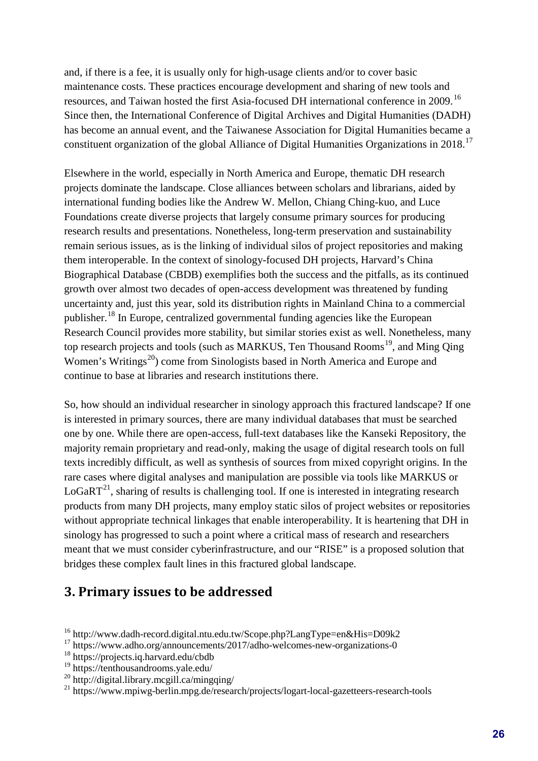and, if there is a fee, it is usually only for high-usage clients and/or to cover basic maintenance costs. These practices encourage development and sharing of new tools and resources, and Taiwan hosted the first Asia-focused DH international conference in 2009.[16](#page-5-0) Since then, the International Conference of Digital Archives and Digital Humanities (DADH) has become an annual event, and the Taiwanese Association for Digital Humanities became a constituent organization of the global Alliance of Digital Humanities Organizations in 2018.<sup>[17](#page-5-1)</sup>

Elsewhere in the world, especially in North America and Europe, thematic DH research projects dominate the landscape. Close alliances between scholars and librarians, aided by international funding bodies like the Andrew W. Mellon, Chiang Ching-kuo, and Luce Foundations create diverse projects that largely consume primary sources for producing research results and presentations. Nonetheless, long-term preservation and sustainability remain serious issues, as is the linking of individual silos of project repositories and making them interoperable. In the context of sinology-focused DH projects, Harvard's China Biographical Database (CBDB) exemplifies both the success and the pitfalls, as its continued growth over almost two decades of open-access development was threatened by funding uncertainty and, just this year, sold its distribution rights in Mainland China to a commercial publisher.[18](#page-5-2) In Europe, centralized governmental funding agencies like the European Research Council provides more stability, but similar stories exist as well. Nonetheless, many top research projects and tools (such as MARKUS, Ten Thousand Rooms<sup>19</sup>, and Ming Qing Women's Writings<sup>[20](#page-5-4)</sup>) come from Sinologists based in North America and Europe and continue to base at libraries and research institutions there.

So, how should an individual researcher in sinology approach this fractured landscape? If one is interested in primary sources, there are many individual databases that must be searched one by one. While there are open-access, full-text databases like the Kanseki Repository, the majority remain proprietary and read-only, making the usage of digital research tools on full texts incredibly difficult, as well as synthesis of sources from mixed copyright origins. In the rare cases where digital analyses and manipulation are possible via tools like MARKUS or  $LoGaRT<sup>21</sup>$  $LoGaRT<sup>21</sup>$  $LoGaRT<sup>21</sup>$ , sharing of results is challenging tool. If one is interested in integrating research products from many DH projects, many employ static silos of project websites or repositories without appropriate technical linkages that enable interoperability. It is heartening that DH in sinology has progressed to such a point where a critical mass of research and researchers meant that we must consider cyberinfrastructure, and our "RISE" is a proposed solution that bridges these complex fault lines in this fractured global landscape.

### **3. Primary issues to be addressed**

- <span id="page-5-0"></span>16 http://www.dadh-record.digital.ntu.edu.tw/Scope.php?LangType=en&His=D09k2
- <span id="page-5-1"></span><sup>17</sup> https://www.adho.org/announcements/2017/adho-welcomes-new-organizations-0
- <span id="page-5-2"></span>18 https://projects.iq.harvard.edu/cbdb
- <span id="page-5-3"></span>19 https://tenthousandrooms.yale.edu/
- <span id="page-5-4"></span><sup>20</sup> http://digital.library.mcgill.ca/mingqing/

<span id="page-5-5"></span><sup>&</sup>lt;sup>21</sup> https://www.mpiwg-berlin.mpg.de/research/projects/logart-local-gazetteers-research-tools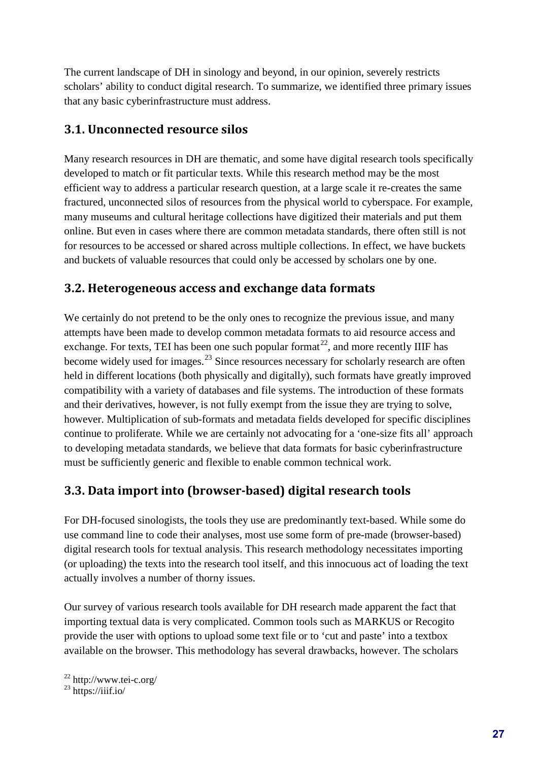The current landscape of DH in sinology and beyond, in our opinion, severely restricts scholars' ability to conduct digital research. To summarize, we identified three primary issues that any basic cyberinfrastructure must address.

#### **3.1. Unconnected resource silos**

Many research resources in DH are thematic, and some have digital research tools specifically developed to match or fit particular texts. While this research method may be the most efficient way to address a particular research question, at a large scale it re-creates the same fractured, unconnected silos of resources from the physical world to cyberspace. For example, many museums and cultural heritage collections have digitized their materials and put them online. But even in cases where there are common metadata standards, there often still is not for resources to be accessed or shared across multiple collections. In effect, we have buckets and buckets of valuable resources that could only be accessed by scholars one by one.

#### **3.2. Heterogeneous access and exchange data formats**

We certainly do not pretend to be the only ones to recognize the previous issue, and many attempts have been made to develop common metadata formats to aid resource access and exchange. For texts, TEI has been one such popular format<sup>22</sup>, and more recently IIIF has become widely used for images.<sup>[23](#page-6-1)</sup> Since resources necessary for scholarly research are often held in different locations (both physically and digitally), such formats have greatly improved compatibility with a variety of databases and file systems. The introduction of these formats and their derivatives, however, is not fully exempt from the issue they are trying to solve, however. Multiplication of sub-formats and metadata fields developed for specific disciplines continue to proliferate. While we are certainly not advocating for a 'one-size fits all' approach to developing metadata standards, we believe that data formats for basic cyberinfrastructure must be sufficiently generic and flexible to enable common technical work.

#### **3.3. Data import into (browser-based) digital research tools**

For DH-focused sinologists, the tools they use are predominantly text-based. While some do use command line to code their analyses, most use some form of pre-made (browser-based) digital research tools for textual analysis. This research methodology necessitates importing (or uploading) the texts into the research tool itself, and this innocuous act of loading the text actually involves a number of thorny issues.

Our survey of various research tools available for DH research made apparent the fact that importing textual data is very complicated. Common tools such as MARKUS or Recogito provide the user with options to upload some text file or to 'cut and paste' into a textbox available on the browser. This methodology has several drawbacks, however. The scholars

 $^{22}$  http://www.tei-c.org/

<span id="page-6-1"></span><span id="page-6-0"></span> $^{23}$  https://iiif.io/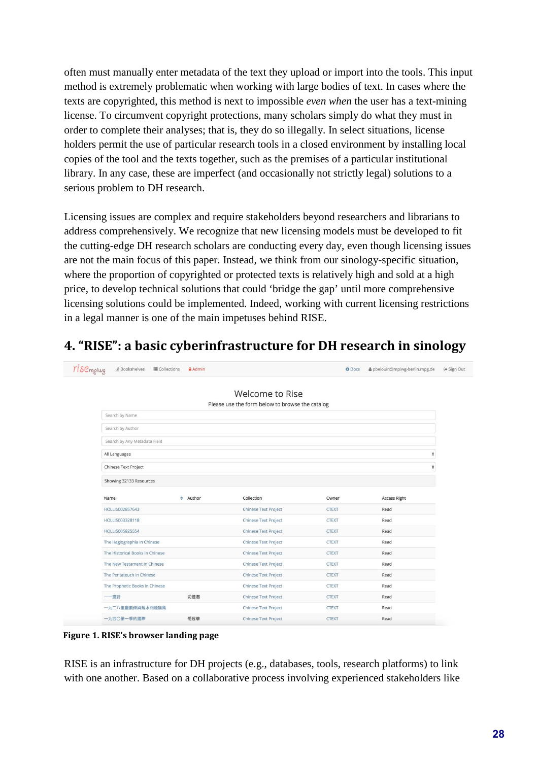often must manually enter metadata of the text they upload or import into the tools. This input method is extremely problematic when working with large bodies of text. In cases where the texts are copyrighted, this method is next to impossible *even when* the user has a text-mining license. To circumvent copyright protections, many scholars simply do what they must in order to complete their analyses; that is, they do so illegally. In select situations, license holders permit the use of particular research tools in a closed environment by installing local copies of the tool and the texts together, such as the premises of a particular institutional library. In any case, these are imperfect (and occasionally not strictly legal) solutions to a serious problem to DH research.

Licensing issues are complex and require stakeholders beyond researchers and librarians to address comprehensively. We recognize that new licensing models must be developed to fit the cutting-edge DH research scholars are conducting every day, even though licensing issues are not the main focus of this paper. Instead, we think from our sinology-specific situation, where the proportion of copyrighted or protected texts is relatively high and sold at a high price, to develop technical solutions that could 'bridge the gap' until more comprehensive licensing solutions could be implemented. Indeed, working with current licensing restrictions in a legal manner is one of the main impetuses behind RISE.

# **4. "RISE": a basic cyberinfrastructure for DH research in sinology**

| <b>YIS</b> C <sub>mpiwg</sub> | <b><i>盒</i></b> Bookshelves<br>三 Collections | Admin         |                                                 | <b>O</b> Docs | & pbelouin@mpiwg-berlin.mpg.de | ☞ Sign Out |
|-------------------------------|----------------------------------------------|---------------|-------------------------------------------------|---------------|--------------------------------|------------|
|                               |                                              |               |                                                 |               |                                |            |
|                               |                                              |               | Welcome to Rise                                 |               |                                |            |
|                               |                                              |               | Please use the form below to browse the catalog |               |                                |            |
|                               | Search by Name                               |               |                                                 |               |                                |            |
|                               | Search by Author                             |               |                                                 |               |                                |            |
|                               | Search by Any Metadata Field                 |               |                                                 |               |                                |            |
|                               | All Languages                                |               |                                                 |               |                                |            |
|                               | Chinese Text Project                         |               |                                                 |               | ÷                              |            |
|                               | Showing 32133 Resources                      |               |                                                 |               |                                |            |
|                               |                                              |               |                                                 |               |                                |            |
|                               | Name                                         | $\div$ Author | Collection                                      | Owner         | <b>Access Right</b>            |            |
|                               | HOLLIS002857643                              |               | <b>Chinese Text Project</b>                     | <b>CTEXT</b>  | Read                           |            |
|                               | HOLLIS003328118                              |               | <b>Chinese Text Project</b>                     | <b>CTEXT</b>  | Read                           |            |
|                               | HOLLIS005825554                              |               | <b>Chinese Text Project</b>                     | <b>CTEXT</b>  | Read                           |            |
|                               | The Hagiographia In Chinese                  |               | <b>Chinese Text Project</b>                     | <b>CTEXT</b>  | Read                           |            |
|                               | The Historical Books In Chinese              |               | <b>Chinese Text Project</b>                     | <b>CTEXT</b>  | Read                           |            |
|                               | The New Testament In Chinese                 |               | <b>Chinese Text Project</b>                     | <b>CTEXT</b>  | Read                           |            |
|                               | The Pentateuch in Chinese                    |               | <b>Chinese Text Project</b>                     | <b>CTEXT</b>  | Read                           |            |
|                               | The Prophetic Books In Chinese               |               | <b>Chinese Text Project</b>                     | <b>CTEXT</b>  | Read                           |            |
|                               | 一一齋詩                                         | 沈德潛           | <b>Chinese Text Project</b>                     | <b>CTEXT</b>  | Read                           |            |
|                               | 一九二八重慶劃條與現水問題論集                              |               | <b>Chinese Text Project</b>                     | <b>CTEXT</b>  | Read                           |            |
|                               | 一九四〇第一季的國際                                   | 喬冠華           | <b>Chinese Text Project</b>                     | <b>CTEXT</b>  | Read                           |            |

**Figure 1. RISE's browser landing page**

RISE is an infrastructure for DH projects (e.g., databases, tools, research platforms) to link with one another. Based on a collaborative process involving experienced stakeholders like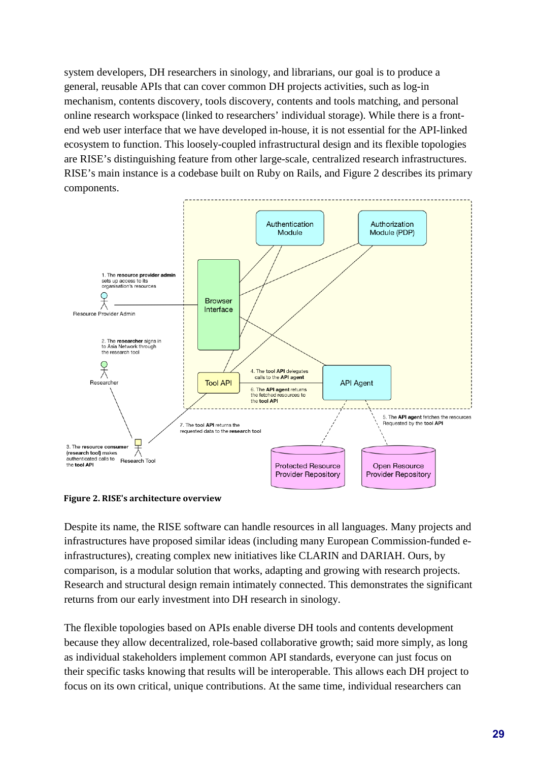system developers, DH researchers in sinology, and librarians, our goal is to produce a general, reusable APIs that can cover common DH projects activities, such as log-in mechanism, contents discovery, tools discovery, contents and tools matching, and personal online research workspace (linked to researchers' individual storage). While there is a frontend web user interface that we have developed in-house, it is not essential for the API-linked ecosystem to function. This loosely-coupled infrastructural design and its flexible topologies are RISE's distinguishing feature from other large-scale, centralized research infrastructures. RISE's main instance is a codebase built on Ruby on Rails, and Figure 2 describes its primary components.



**Figure 2. RISE's architecture overview**

Despite its name, the RISE software can handle resources in all languages. Many projects and infrastructures have proposed similar ideas (including many European Commission-funded einfrastructures), creating complex new initiatives like CLARIN and DARIAH. Ours, by comparison, is a modular solution that works, adapting and growing with research projects. Research and structural design remain intimately connected. This demonstrates the significant returns from our early investment into DH research in sinology.

The flexible topologies based on APIs enable diverse DH tools and contents development because they allow decentralized, role-based collaborative growth; said more simply, as long as individual stakeholders implement common API standards, everyone can just focus on their specific tasks knowing that results will be interoperable. This allows each DH project to focus on its own critical, unique contributions. At the same time, individual researchers can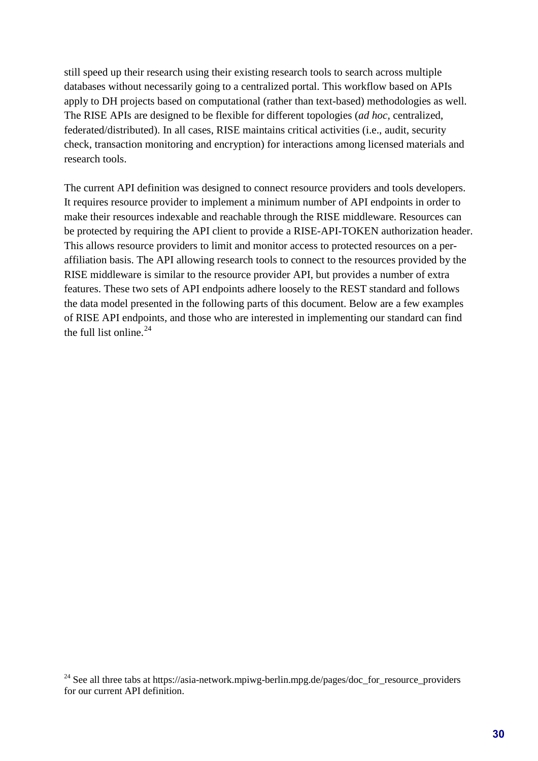still speed up their research using their existing research tools to search across multiple databases without necessarily going to a centralized portal. This workflow based on APIs apply to DH projects based on computational (rather than text-based) methodologies as well. The RISE APIs are designed to be flexible for different topologies (*ad hoc*, centralized, federated/distributed). In all cases, RISE maintains critical activities (i.e., audit, security check, transaction monitoring and encryption) for interactions among licensed materials and research tools.

The current API definition was designed to connect resource providers and tools developers. It requires resource provider to implement a minimum number of API endpoints in order to make their resources indexable and reachable through the RISE middleware. Resources can be protected by requiring the API client to provide a RISE-API-TOKEN authorization header. This allows resource providers to limit and monitor access to protected resources on a peraffiliation basis. The API allowing research tools to connect to the resources provided by the RISE middleware is similar to the resource provider API, but provides a number of extra features. These two sets of API endpoints adhere loosely to the REST standard and follows the data model presented in the following parts of this document. Below are a few examples of RISE API endpoints, and those who are interested in implementing our standard can find the full list online. [24](#page-9-0)

<span id="page-9-0"></span><sup>24</sup> See all three tabs at https://asia-network.mpiwg-berlin.mpg.de/pages/doc\_for\_resource\_providers for our current API definition.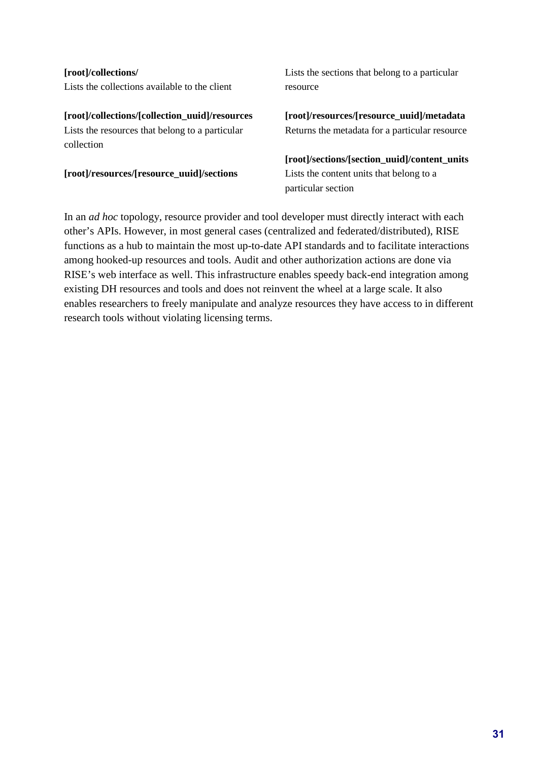**[root]/collections/** Lists the collections available to the client

**[root]/collections/[collection\_uuid]/resources** Lists the resources that belong to a particular collection

**[root]/resources/[resource\_uuid]/sections**

Lists the sections that belong to a particular resource

**[root]/resources/[resource\_uuid]/metadata** Returns the metadata for a particular resource

**[root]/sections/[section\_uuid]/content\_units** Lists the content units that belong to a particular section

In an *ad hoc* topology, resource provider and tool developer must directly interact with each other's APIs. However, in most general cases (centralized and federated/distributed), RISE functions as a hub to maintain the most up-to-date API standards and to facilitate interactions among hooked-up resources and tools. Audit and other authorization actions are done via RISE's web interface as well. This infrastructure enables speedy back-end integration among existing DH resources and tools and does not reinvent the wheel at a large scale. It also enables researchers to freely manipulate and analyze resources they have access to in different research tools without violating licensing terms.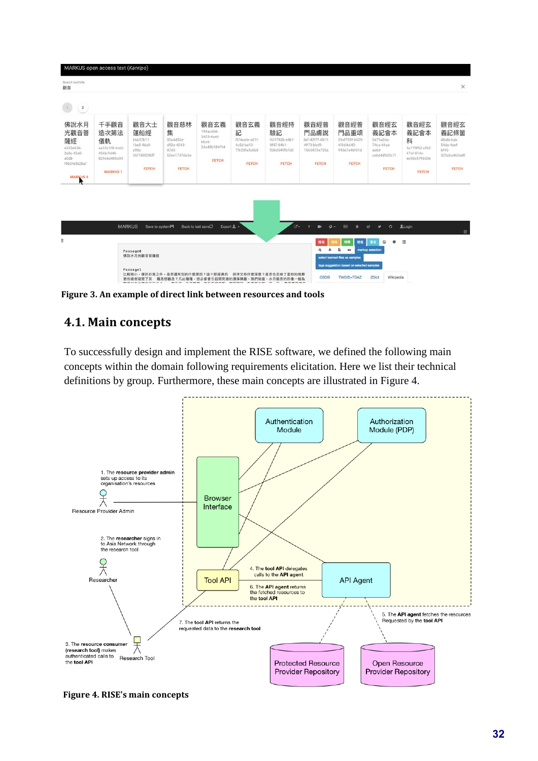

**Figure 3. An example of direct link between resources and tools**

#### **4.1. Main concepts**

To successfully design and implement the RISE software, we defined the following main concepts within the domain following requirements elicitation. Here we list their technical definitions by group. Furthermore, these main concepts are illustrated in Figure 4.



**Figure 4. RISE's main concepts**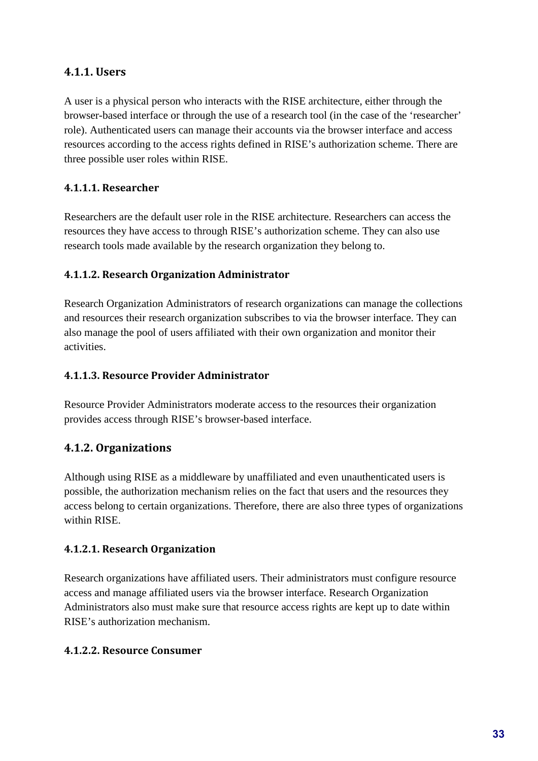#### **4.1.1. Users**

A user is a physical person who interacts with the RISE architecture, either through the browser-based interface or through the use of a research tool (in the case of the 'researcher' role). Authenticated users can manage their accounts via the browser interface and access resources according to the access rights defined in RISE's authorization scheme. There are three possible user roles within RISE.

#### **4.1.1.1. Researcher**

Researchers are the default user role in the RISE architecture. Researchers can access the resources they have access to through RISE's authorization scheme. They can also use research tools made available by the research organization they belong to.

#### **4.1.1.2. Research Organization Administrator**

Research Organization Administrators of research organizations can manage the collections and resources their research organization subscribes to via the browser interface. They can also manage the pool of users affiliated with their own organization and monitor their activities.

#### **4.1.1.3. Resource Provider Administrator**

Resource Provider Administrators moderate access to the resources their organization provides access through RISE's browser-based interface.

#### **4.1.2. Organizations**

Although using RISE as a middleware by unaffiliated and even unauthenticated users is possible, the authorization mechanism relies on the fact that users and the resources they access belong to certain organizations. Therefore, there are also three types of organizations within RISE.

#### **4.1.2.1. Research Organization**

Research organizations have affiliated users. Their administrators must configure resource access and manage affiliated users via the browser interface. Research Organization Administrators also must make sure that resource access rights are kept up to date within RISE's authorization mechanism.

#### **4.1.2.2. Resource Consumer**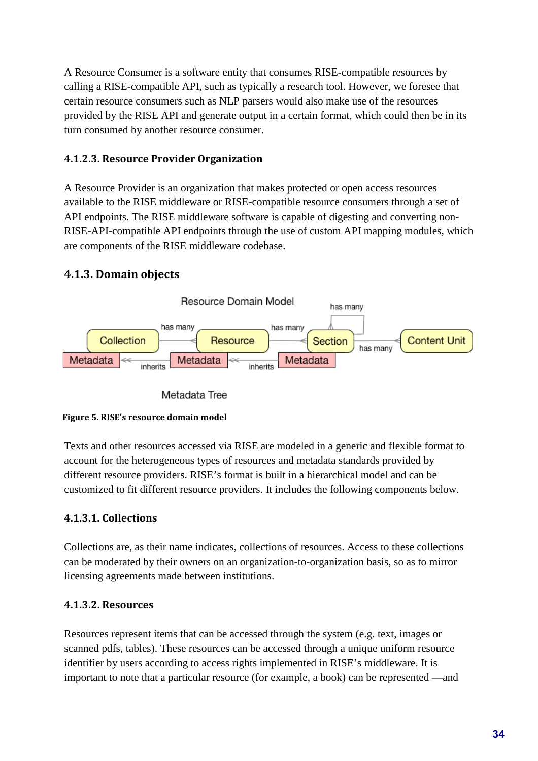A Resource Consumer is a software entity that consumes RISE-compatible resources by calling a RISE-compatible API, such as typically a research tool. However, we foresee that certain resource consumers such as NLP parsers would also make use of the resources provided by the RISE API and generate output in a certain format, which could then be in its turn consumed by another resource consumer.

#### **4.1.2.3. Resource Provider Organization**

A Resource Provider is an organization that makes protected or open access resources available to the RISE middleware or RISE-compatible resource consumers through a set of API endpoints. The RISE middleware software is capable of digesting and converting non-RISE-API-compatible API endpoints through the use of custom API mapping modules, which are components of the RISE middleware codebase.

#### **4.1.3. Domain objects**







Texts and other resources accessed via RISE are modeled in a generic and flexible format to account for the heterogeneous types of resources and metadata standards provided by different resource providers. RISE's format is built in a hierarchical model and can be customized to fit different resource providers. It includes the following components below.

#### **4.1.3.1. Collections**

Collections are, as their name indicates, collections of resources. Access to these collections can be moderated by their owners on an organization-to-organization basis, so as to mirror licensing agreements made between institutions.

#### **4.1.3.2. Resources**

Resources represent items that can be accessed through the system (e.g. text, images or scanned pdfs, tables). These resources can be accessed through a unique uniform resource identifier by users according to access rights implemented in RISE's middleware. It is important to note that a particular resource (for example, a book) can be represented —and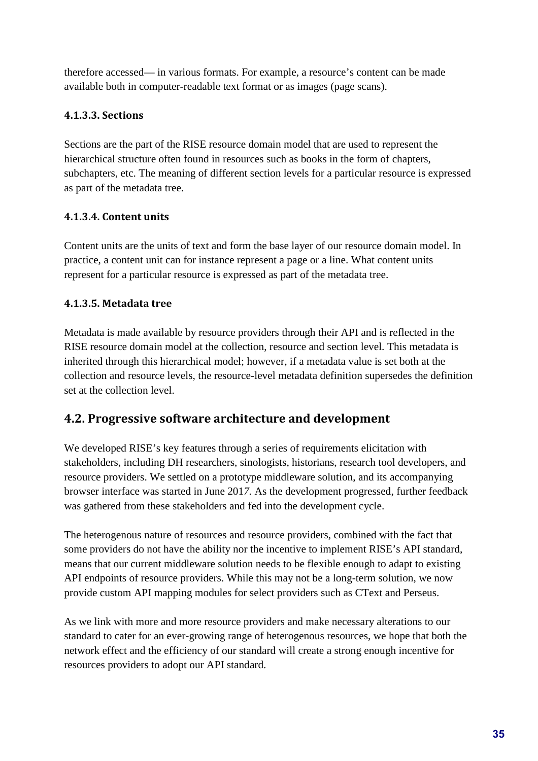therefore accessed— in various formats. For example, a resource's content can be made available both in computer-readable text format or as images (page scans).

#### **4.1.3.3. Sections**

Sections are the part of the RISE resource domain model that are used to represent the hierarchical structure often found in resources such as books in the form of chapters, subchapters, etc. The meaning of different section levels for a particular resource is expressed as part of the metadata tree.

#### **4.1.3.4. Content units**

Content units are the units of text and form the base layer of our resource domain model. In practice, a content unit can for instance represent a page or a line. What content units represent for a particular resource is expressed as part of the metadata tree.

#### **4.1.3.5. Metadata tree**

Metadata is made available by resource providers through their API and is reflected in the RISE resource domain model at the collection, resource and section level. This metadata is inherited through this hierarchical model; however, if a metadata value is set both at the collection and resource levels, the resource-level metadata definition supersedes the definition set at the collection level.

#### **4.2. Progressive software architecture and development**

We developed RISE's key features through a series of requirements elicitation with stakeholders, including DH researchers, sinologists, historians, research tool developers, and resource providers. We settled on a prototype middleware solution, and its accompanying browser interface was started in June 201*7.* As the development progressed, further feedback was gathered from these stakeholders and fed into the development cycle.

The heterogenous nature of resources and resource providers, combined with the fact that some providers do not have the ability nor the incentive to implement RISE's API standard, means that our current middleware solution needs to be flexible enough to adapt to existing API endpoints of resource providers. While this may not be a long-term solution, we now provide custom API mapping modules for select providers such as CText and Perseus.

As we link with more and more resource providers and make necessary alterations to our standard to cater for an ever-growing range of heterogenous resources, we hope that both the network effect and the efficiency of our standard will create a strong enough incentive for resources providers to adopt our API standard.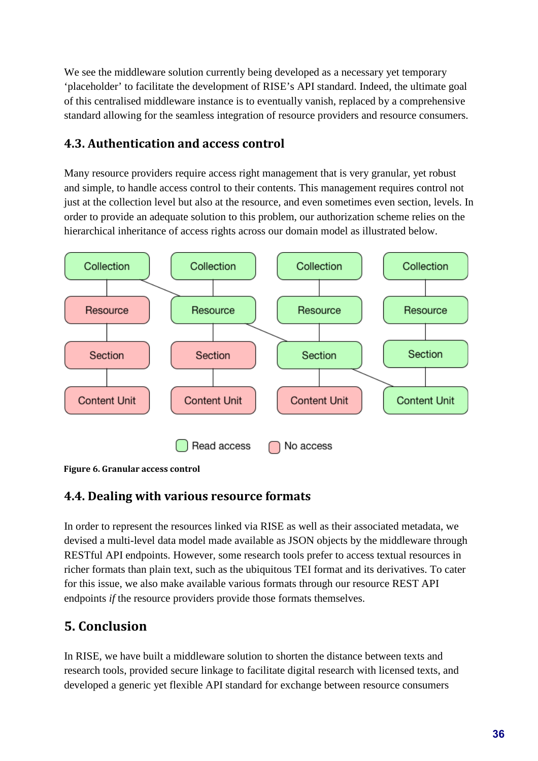We see the middleware solution currently being developed as a necessary yet temporary 'placeholder' to facilitate the development of RISE's API standard. Indeed, the ultimate goal of this centralised middleware instance is to eventually vanish, replaced by a comprehensive standard allowing for the seamless integration of resource providers and resource consumers.

### **4.3. Authentication and access control**

Many resource providers require access right management that is very granular, yet robust and simple, to handle access control to their contents. This management requires control not just at the collection level but also at the resource, and even sometimes even section, levels. In order to provide an adequate solution to this problem, our authorization scheme relies on the hierarchical inheritance of access rights across our domain model as illustrated below.



**Figure 6. Granular access control**

#### **4.4. Dealing with various resource formats**

In order to represent the resources linked via RISE as well as their associated metadata, we devised a multi-level data model made available as JSON objects by the middleware through RESTful API endpoints. However, some research tools prefer to access textual resources in richer formats than plain text, such as the ubiquitous TEI format and its derivatives. To cater for this issue, we also make available various formats through our resource REST API endpoints *if* the resource providers provide those formats themselves.

# **5. Conclusion**

In RISE, we have built a middleware solution to shorten the distance between texts and research tools, provided secure linkage to facilitate digital research with licensed texts, and developed a generic yet flexible API standard for exchange between resource consumers